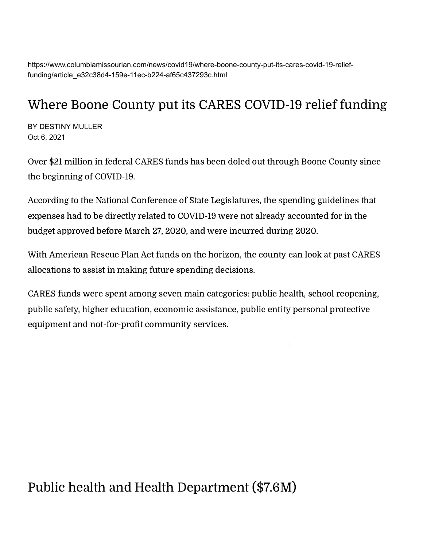https://www.columbiamissourian.com/news/covid19/where-boone-county-put-its-cares-covid-19-relieffunding/article\_e32c38d4-159e-11ec-b224-af65c437293c.html

#### Where Boone County put its CARES COVID-19 relief funding

BY DESTINY MULLER Oct 6, 2021

Over \$21 million in federal CARES funds has been doled out through Boone County since the beginning of COVID-19.

According to the National Conference of State [Legislatures,](https://www.ncsl.org/research/fiscal-policy/state-uses-of-the-cares-act-coronavirus-relief-funds-magazine2020.aspx) the spending guidelines that expenses had to be directly related to COVID-19 were not already accounted for in the budget approved before March 27, 2020, and were incurred during 2020.

With American Rescue Plan Act funds on the horizon, the county can look at past CARES allocations to assist in making future spending decisions.

CARES funds were spent among seven main categories: public health, school reopening, public safety, higher education, economic assistance, public entity personal protective equipment and not-for-profit community services.

Public health and Health Department (\$7.6M)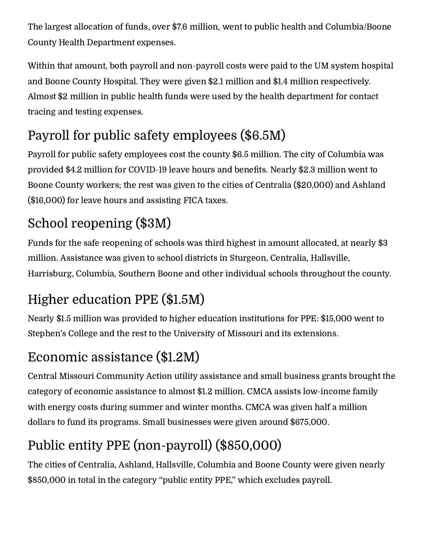The largest allocation of funds, over \$7.6 million, went to public health and Columbia/Boone County Health Department expenses.

Within that amount, both payroll and non-payroll costs were paid to the UM system hospital and Boone County Hospital. They were given \$2.1 million and \$1.4 million respectively. Almost \$2 million in public health funds were used by the health department for contact tracing and testing expenses.

## Payroll for public safety employees (\$6.5M)

Payroll for public safety employees cost the county \$6.5 million. The city of Columbia was provided \$4.2 million for COVID-19 leave hours and benefits. Nearly \$2.3 million went to Boone County workers; the rest was given to the cities of Centralia (\$20,000) and Ashland (\$16,000) for leave hours and assisting FICA taxes.

## School reopening (\$3M)

Funds for the safe reopening of schools was third highest in amount allocated, at nearly \$3 million. Assistance was given to school districts in Sturgeon, Centralia, Hallsville, Harrisburg, Columbia, Southern Boone and other individual schools throughout the county.

## Higher education PPE (\$1.5M)

Nearly \$1.5 million was provided to higher education institutions for PPE: \$15,000 went to Stephen's College and the rest to the University of Missouri and its extensions.

### Economic assistance (\$1.2M)

Central Missouri Community Action utility assistance and small business grants brought the category of economic assistance to almost \$1.2 million. CMCA assists low-income family with energy costs during summer and winter months. CMCA was given half a million dollars to fund its programs. Small businesses were given around \$675,000.

# Public entity PPE (non-payroll) (\$850,000)

The cities of Centralia, Ashland, Hallsville, Columbia and Boone County were given nearly \$850,000 in total in the category "public entity PPE," which excludes payroll.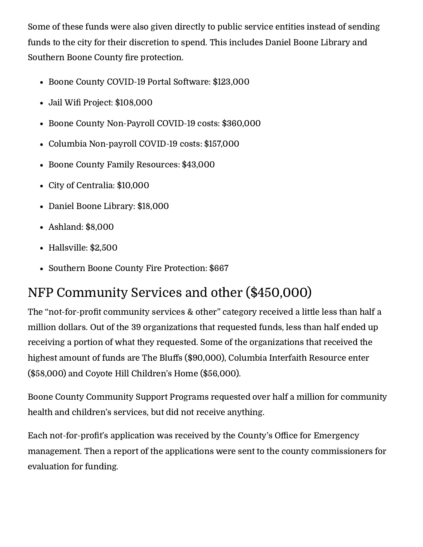Some of these funds were also given directly to public service entities instead of sending funds to the city for their discretion to spend. This includes Daniel Boone Library and Southern Boone County fire protection.

- Boone County COVID-19 Portal Software: \$123,000
- Jail Wifi Project: \$108,000
- Boone County Non-Payroll COVID-19 costs: \$360,000
- Columbia Non-payroll COVID-19 costs: \$157,000
- Boone County Family Resources: \$43,000
- City of Centralia: \$10,000
- Daniel Boone Library: \$18,000
- Ashland: \$8,000
- Hallsville: \$2,500
- Southern Boone County Fire Protection: \$667

### NFP Community Services and other (\$450,000)

The "not-for-profit community services & other" category received a little less than half a million dollars. Out of the 39 organizations that requested funds, less than half ended up receiving a portion of what they requested. Some of the organizations that received the highest amount of funds are The Bluffs (\$90,000), Columbia Interfaith Resource enter (\$58,000) and Coyote Hill Children's Home (\$56,000).

Boone County Community Support Programs requested over half a million for community health and children's services, but did not receive anything.

Each not-for-profit's application was received by the County's Office for Emergency management. Then a report of the applications were sent to the county commissioners for evaluation for funding.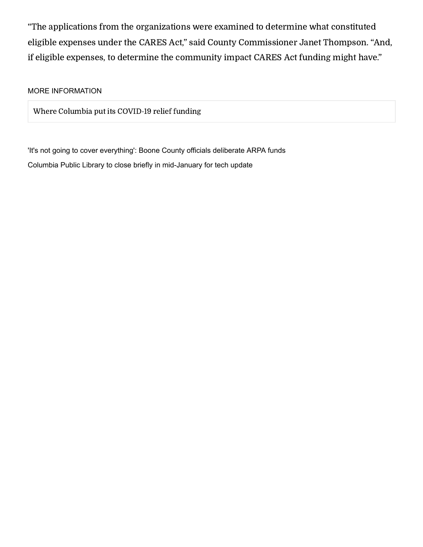"The applications from the organizations were examined to determine what constituted eligible expenses under the CARES Act," said County Commissioner Janet Thompson. "And, if eligible expenses, to determine the community impact CARES Act funding might have."

#### MORE INFORMATION

Where Columbia put its [COVID-19](https://www.columbiamissourian.com/news/covid19/where-columbia-put-its-covid-19-relief-funding/article_8c41184a-1257-11ec-a332-6b54e0e8e906.html) relief funding

['It's not going to cover everything': Boone County officials deliberate ARPA funds](https://www.columbiamissourian.com/news/local/its-not-going-to-cover-everything-boone-county-officials-deliberate-arpa-funds/article_f8459e86-3349-11ec-8d1e-ef3f194df158.html) [Columbia Public Library to close briefly in mid-January for tech update](https://www.columbiamissourian.com/news/local/columbia-public-library-to-close-briefly-in-mid-january-for-tech-update/article_7aa0e036-67fa-11ec-afb6-2bc5bb9ee0c9.html)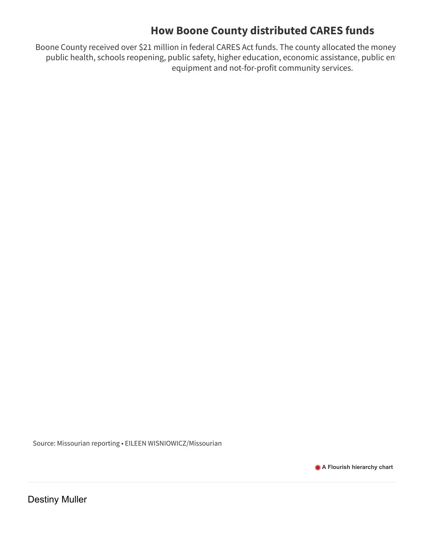#### **How Boone County distributed CARES funds**

Boone County received over \$21 million in federal CARES Act funds. The county allocated the money public health, schools reopening, public safety, higher education, economic assistance, public ent equipment and not-for-profit community services.

Source: Missourian reporting • EILEEN WISNIOWICZ/Missourian

**[A Flourish hierarchy chart](https://flourish.studio/visualisations/treemaps/?utm_source=showcase&utm_campaign=visualisation/7459634)**

[Destiny Muller](https://www.columbiamissourian.com/users/profile/guest2885)